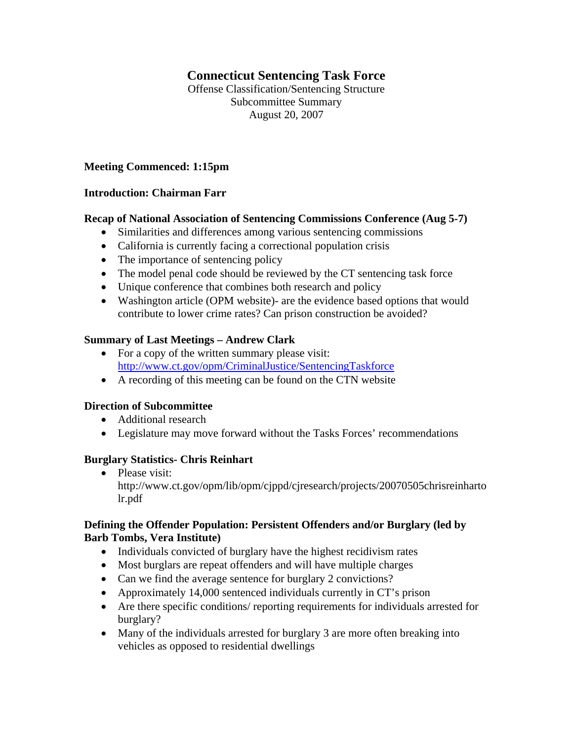# **Connecticut Sentencing Task Force**

Offense Classification/Sentencing Structure Subcommittee Summary August 20, 2007

### **Meeting Commenced: 1:15pm**

#### **Introduction: Chairman Farr**

#### **Recap of National Association of Sentencing Commissions Conference (Aug 5-7)**

- Similarities and differences among various sentencing commissions
- California is currently facing a correctional population crisis
- The importance of sentencing policy
- The model penal code should be reviewed by the CT sentencing task force
- Unique conference that combines both research and policy
- Washington article (OPM website)- are the evidence based options that would contribute to lower crime rates? Can prison construction be avoided?

#### **Summary of Last Meetings – Andrew Clark**

- For a copy of the written summary please visit: <http://www.ct.gov/opm/CriminalJustice/SentencingTaskforce>
- A recording of this meeting can be found on the CTN website

## **Direction of Subcommittee**

- Additional research
- Legislature may move forward without the Tasks Forces' recommendations

#### **Burglary Statistics- Chris Reinhart**

• Please visit: http://www.ct.gov/opm/lib/opm/cjppd/cjresearch/projects/20070505chrisreinharto lr.pdf

## **Defining the Offender Population: Persistent Offenders and/or Burglary (led by Barb Tombs, Vera Institute)**

- Individuals convicted of burglary have the highest recidivism rates
- Most burglars are repeat offenders and will have multiple charges
- Can we find the average sentence for burglary 2 convictions?
- Approximately 14,000 sentenced individuals currently in CT's prison
- Are there specific conditions/ reporting requirements for individuals arrested for burglary?
- Many of the individuals arrested for burglary 3 are more often breaking into vehicles as opposed to residential dwellings